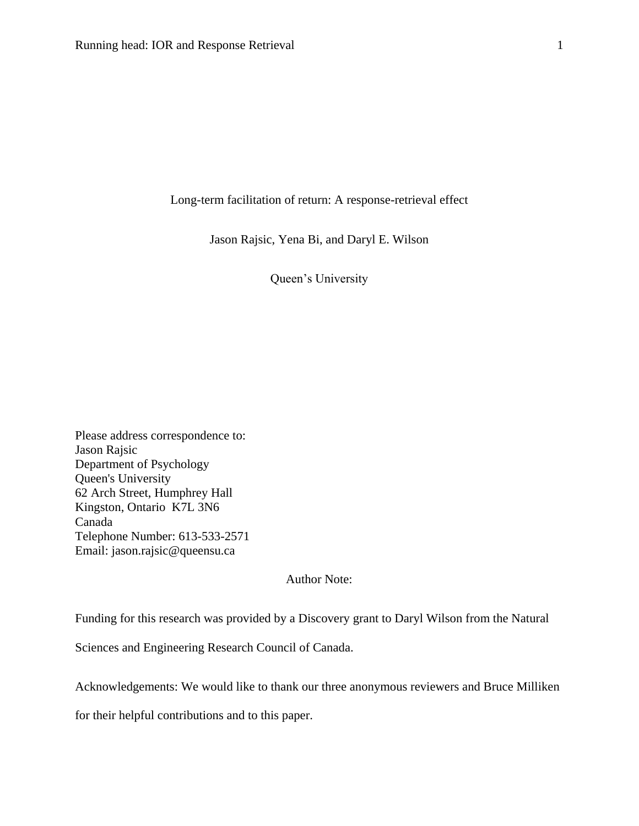Long-term facilitation of return: A response-retrieval effect

Jason Rajsic, Yena Bi, and Daryl E. Wilson

Queen's University

Please address correspondence to: Jason Rajsic Department of Psychology Queen's University 62 Arch Street, Humphrey Hall Kingston, Ontario K7L 3N6 Canada Telephone Number: 613-533-2571 Email: jason.rajsic@queensu.ca

Author Note:

Funding for this research was provided by a Discovery grant to Daryl Wilson from the Natural

Sciences and Engineering Research Council of Canada.

Acknowledgements: We would like to thank our three anonymous reviewers and Bruce Milliken

for their helpful contributions and to this paper.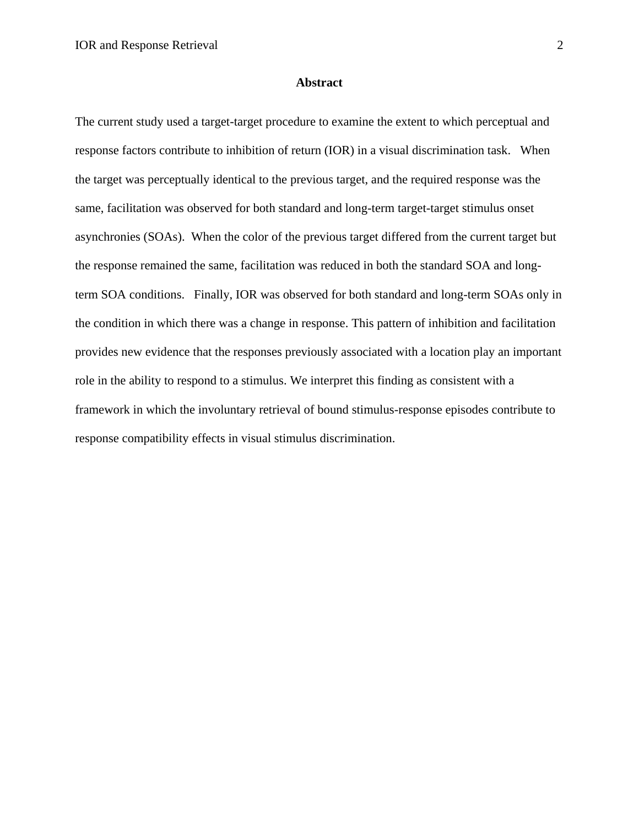#### **Abstract**

The current study used a target-target procedure to examine the extent to which perceptual and response factors contribute to inhibition of return (IOR) in a visual discrimination task. When the target was perceptually identical to the previous target, and the required response was the same, facilitation was observed for both standard and long-term target-target stimulus onset asynchronies (SOAs). When the color of the previous target differed from the current target but the response remained the same, facilitation was reduced in both the standard SOA and longterm SOA conditions. Finally, IOR was observed for both standard and long-term SOAs only in the condition in which there was a change in response. This pattern of inhibition and facilitation provides new evidence that the responses previously associated with a location play an important role in the ability to respond to a stimulus. We interpret this finding as consistent with a framework in which the involuntary retrieval of bound stimulus-response episodes contribute to response compatibility effects in visual stimulus discrimination.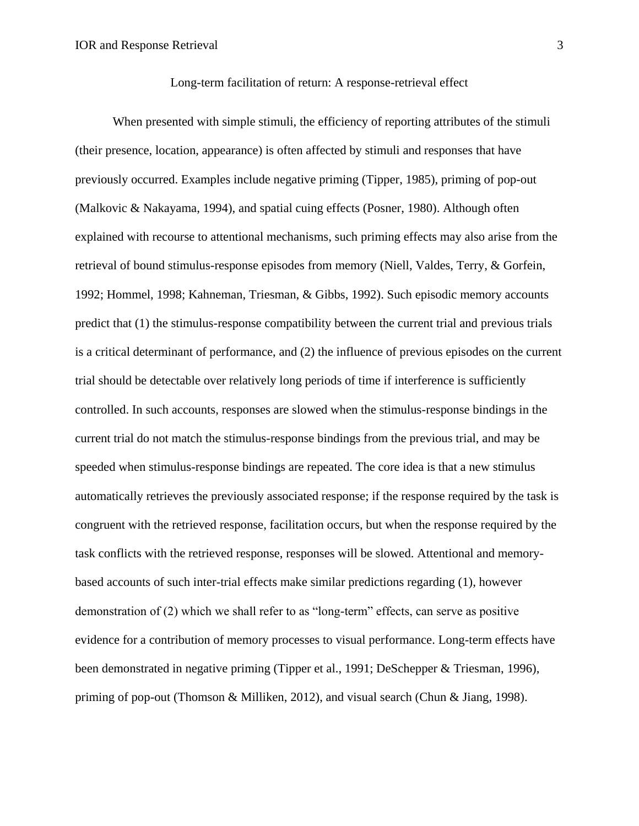When presented with simple stimuli, the efficiency of reporting attributes of the stimuli (their presence, location, appearance) is often affected by stimuli and responses that have previously occurred. Examples include negative priming (Tipper, 1985), priming of pop-out (Malkovic & Nakayama, 1994), and spatial cuing effects (Posner, 1980). Although often explained with recourse to attentional mechanisms, such priming effects may also arise from the retrieval of bound stimulus-response episodes from memory (Niell, Valdes, Terry, & Gorfein, 1992; Hommel, 1998; Kahneman, Triesman, & Gibbs, 1992). Such episodic memory accounts predict that (1) the stimulus-response compatibility between the current trial and previous trials is a critical determinant of performance, and (2) the influence of previous episodes on the current trial should be detectable over relatively long periods of time if interference is sufficiently controlled. In such accounts, responses are slowed when the stimulus-response bindings in the current trial do not match the stimulus-response bindings from the previous trial, and may be speeded when stimulus-response bindings are repeated. The core idea is that a new stimulus automatically retrieves the previously associated response; if the response required by the task is congruent with the retrieved response, facilitation occurs, but when the response required by the task conflicts with the retrieved response, responses will be slowed. Attentional and memorybased accounts of such inter-trial effects make similar predictions regarding (1), however demonstration of (2) which we shall refer to as "long-term" effects, can serve as positive evidence for a contribution of memory processes to visual performance. Long-term effects have been demonstrated in negative priming (Tipper et al., 1991; DeSchepper & Triesman, 1996), priming of pop-out (Thomson & Milliken, 2012), and visual search (Chun & Jiang, 1998).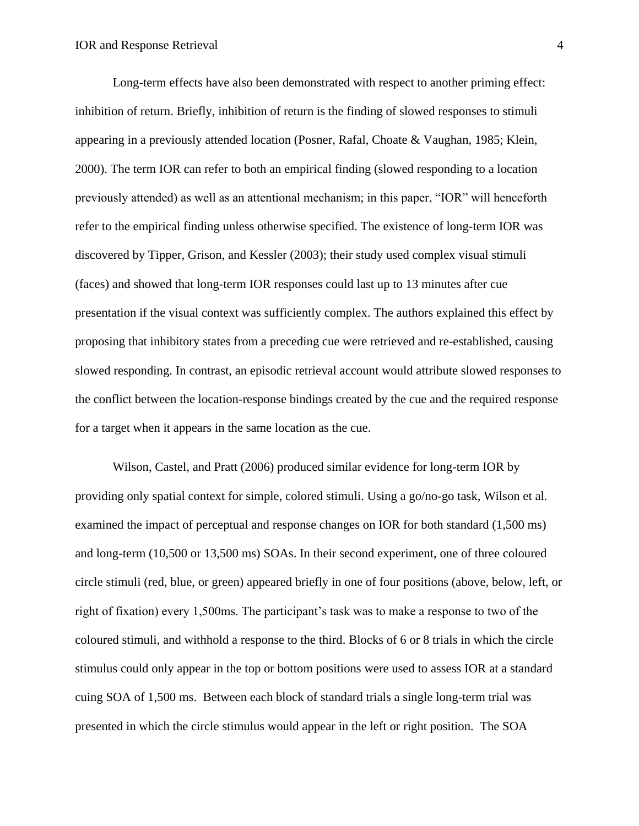Long-term effects have also been demonstrated with respect to another priming effect: inhibition of return. Briefly, inhibition of return is the finding of slowed responses to stimuli appearing in a previously attended location (Posner, Rafal, Choate & Vaughan, 1985; Klein, 2000). The term IOR can refer to both an empirical finding (slowed responding to a location previously attended) as well as an attentional mechanism; in this paper, "IOR" will henceforth refer to the empirical finding unless otherwise specified. The existence of long-term IOR was discovered by Tipper, Grison, and Kessler (2003); their study used complex visual stimuli (faces) and showed that long-term IOR responses could last up to 13 minutes after cue presentation if the visual context was sufficiently complex. The authors explained this effect by proposing that inhibitory states from a preceding cue were retrieved and re-established, causing slowed responding. In contrast, an episodic retrieval account would attribute slowed responses to the conflict between the location-response bindings created by the cue and the required response for a target when it appears in the same location as the cue.

Wilson, Castel, and Pratt (2006) produced similar evidence for long-term IOR by providing only spatial context for simple, colored stimuli. Using a go/no-go task, Wilson et al. examined the impact of perceptual and response changes on IOR for both standard (1,500 ms) and long-term (10,500 or 13,500 ms) SOAs. In their second experiment, one of three coloured circle stimuli (red, blue, or green) appeared briefly in one of four positions (above, below, left, or right of fixation) every 1,500ms. The participant's task was to make a response to two of the coloured stimuli, and withhold a response to the third. Blocks of 6 or 8 trials in which the circle stimulus could only appear in the top or bottom positions were used to assess IOR at a standard cuing SOA of 1,500 ms. Between each block of standard trials a single long-term trial was presented in which the circle stimulus would appear in the left or right position. The SOA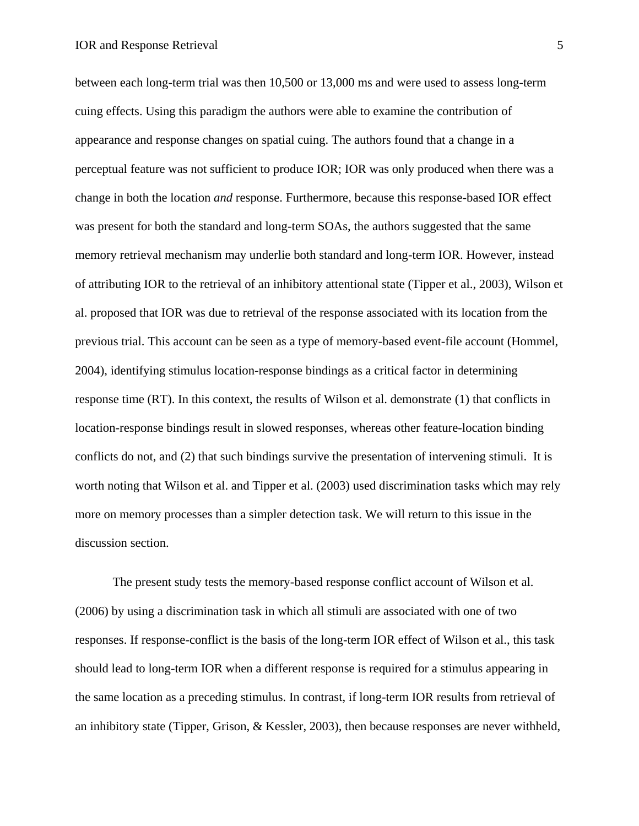between each long-term trial was then 10,500 or 13,000 ms and were used to assess long-term cuing effects. Using this paradigm the authors were able to examine the contribution of appearance and response changes on spatial cuing. The authors found that a change in a perceptual feature was not sufficient to produce IOR; IOR was only produced when there was a change in both the location *and* response. Furthermore, because this response-based IOR effect was present for both the standard and long-term SOAs, the authors suggested that the same memory retrieval mechanism may underlie both standard and long-term IOR. However, instead of attributing IOR to the retrieval of an inhibitory attentional state (Tipper et al., 2003), Wilson et al. proposed that IOR was due to retrieval of the response associated with its location from the previous trial. This account can be seen as a type of memory-based event-file account (Hommel, 2004), identifying stimulus location-response bindings as a critical factor in determining response time (RT). In this context, the results of Wilson et al. demonstrate (1) that conflicts in location-response bindings result in slowed responses, whereas other feature-location binding conflicts do not, and (2) that such bindings survive the presentation of intervening stimuli. It is worth noting that Wilson et al. and Tipper et al. (2003) used discrimination tasks which may rely more on memory processes than a simpler detection task. We will return to this issue in the discussion section.

The present study tests the memory-based response conflict account of Wilson et al. (2006) by using a discrimination task in which all stimuli are associated with one of two responses. If response-conflict is the basis of the long-term IOR effect of Wilson et al., this task should lead to long-term IOR when a different response is required for a stimulus appearing in the same location as a preceding stimulus. In contrast, if long-term IOR results from retrieval of an inhibitory state (Tipper, Grison, & Kessler, 2003), then because responses are never withheld,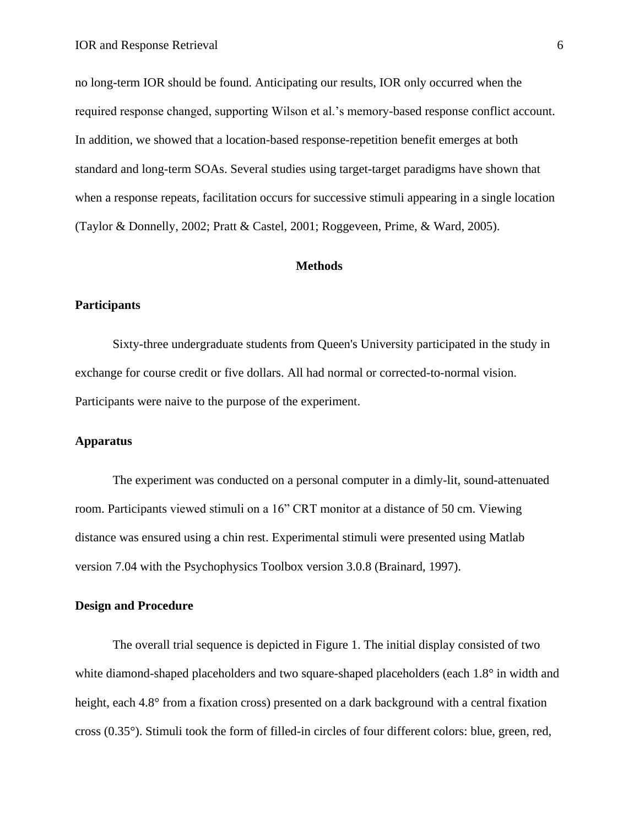no long-term IOR should be found. Anticipating our results, IOR only occurred when the required response changed, supporting Wilson et al.'s memory-based response conflict account. In addition, we showed that a location-based response-repetition benefit emerges at both standard and long-term SOAs. Several studies using target-target paradigms have shown that when a response repeats, facilitation occurs for successive stimuli appearing in a single location (Taylor & Donnelly, 2002; Pratt & Castel, 2001; Roggeveen, Prime, & Ward, 2005).

## **Methods**

# **Participants**

Sixty-three undergraduate students from Queen's University participated in the study in exchange for course credit or five dollars. All had normal or corrected-to-normal vision. Participants were naive to the purpose of the experiment.

# **Apparatus**

The experiment was conducted on a personal computer in a dimly-lit, sound-attenuated room. Participants viewed stimuli on a 16" CRT monitor at a distance of 50 cm. Viewing distance was ensured using a chin rest. Experimental stimuli were presented using Matlab version 7.04 with the Psychophysics Toolbox version 3.0.8 (Brainard, 1997).

#### **Design and Procedure**

The overall trial sequence is depicted in Figure 1. The initial display consisted of two white diamond-shaped placeholders and two square-shaped placeholders (each 1.8° in width and height, each 4.8° from a fixation cross) presented on a dark background with a central fixation cross (0.35°). Stimuli took the form of filled-in circles of four different colors: blue, green, red,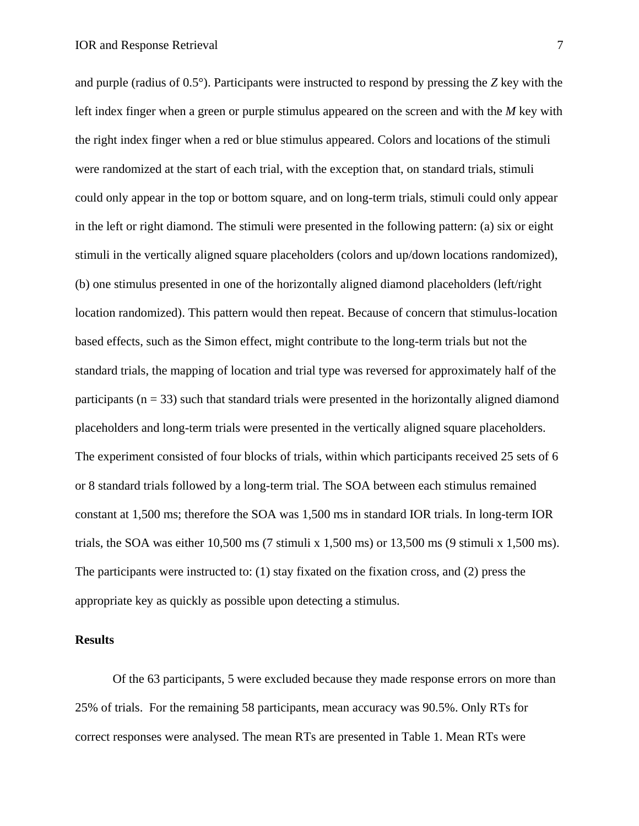and purple (radius of 0.5°). Participants were instructed to respond by pressing the *Z* key with the left index finger when a green or purple stimulus appeared on the screen and with the *M* key with the right index finger when a red or blue stimulus appeared. Colors and locations of the stimuli were randomized at the start of each trial, with the exception that, on standard trials, stimuli could only appear in the top or bottom square, and on long-term trials, stimuli could only appear in the left or right diamond. The stimuli were presented in the following pattern: (a) six or eight stimuli in the vertically aligned square placeholders (colors and up/down locations randomized), (b) one stimulus presented in one of the horizontally aligned diamond placeholders (left/right location randomized). This pattern would then repeat. Because of concern that stimulus-location based effects, such as the Simon effect, might contribute to the long-term trials but not the standard trials, the mapping of location and trial type was reversed for approximately half of the participants ( $n = 33$ ) such that standard trials were presented in the horizontally aligned diamond placeholders and long-term trials were presented in the vertically aligned square placeholders. The experiment consisted of four blocks of trials, within which participants received 25 sets of 6 or 8 standard trials followed by a long-term trial. The SOA between each stimulus remained constant at 1,500 ms; therefore the SOA was 1,500 ms in standard IOR trials. In long-term IOR trials, the SOA was either  $10,500 \text{ ms}$  (7 stimuli x 1,500 ms) or  $13,500 \text{ ms}$  (9 stimuli x 1,500 ms). The participants were instructed to: (1) stay fixated on the fixation cross, and (2) press the appropriate key as quickly as possible upon detecting a stimulus.

#### **Results**

Of the 63 participants, 5 were excluded because they made response errors on more than 25% of trials. For the remaining 58 participants, mean accuracy was 90.5%. Only RTs for correct responses were analysed. The mean RTs are presented in Table 1. Mean RTs were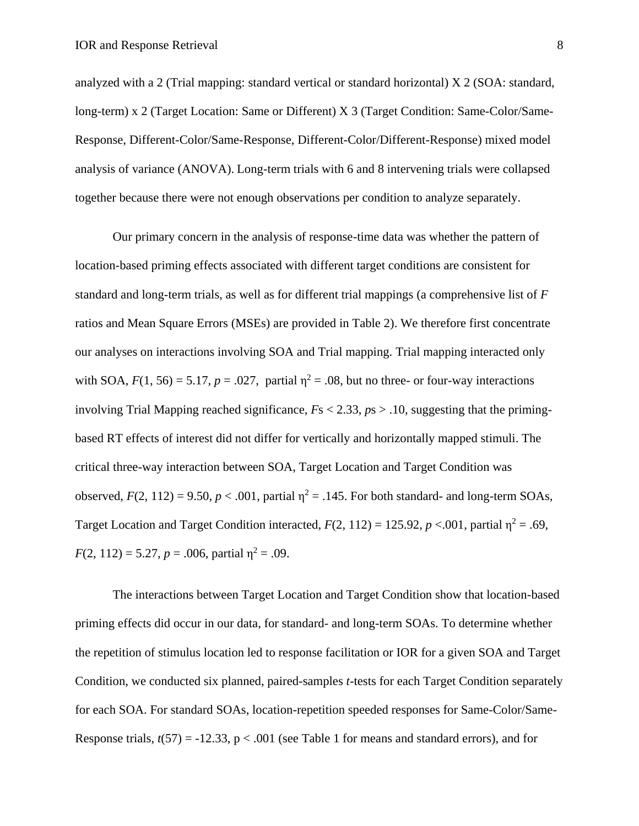analyzed with a 2 (Trial mapping: standard vertical or standard horizontal) X 2 (SOA: standard, long-term) x 2 (Target Location: Same or Different) X 3 (Target Condition: Same-Color/Same-Response, Different-Color/Same-Response, Different-Color/Different-Response) mixed model analysis of variance (ANOVA). Long-term trials with 6 and 8 intervening trials were collapsed together because there were not enough observations per condition to analyze separately.

Our primary concern in the analysis of response-time data was whether the pattern of location-based priming effects associated with different target conditions are consistent for standard and long-term trials, as well as for different trial mappings (a comprehensive list of *F* ratios and Mean Square Errors (MSEs) are provided in Table 2). We therefore first concentrate our analyses on interactions involving SOA and Trial mapping. Trial mapping interacted only with SOA,  $F(1, 56) = 5.17$ ,  $p = .027$ , partial  $\eta^2 = .08$ , but no three- or four-way interactions involving Trial Mapping reached significance, *F*s < 2.33, *p*s > .10, suggesting that the primingbased RT effects of interest did not differ for vertically and horizontally mapped stimuli. The critical three-way interaction between SOA, Target Location and Target Condition was observed,  $F(2, 112) = 9.50$ ,  $p < .001$ , partial  $\eta^2 = .145$ . For both standard- and long-term SOAs, Target Location and Target Condition interacted,  $F(2, 112) = 125.92$ ,  $p < .001$ , partial  $\eta^2 = .69$ ,  $F(2, 112) = 5.27, p = .006$ , partial  $\eta^2 = .09$ .

The interactions between Target Location and Target Condition show that location-based priming effects did occur in our data, for standard- and long-term SOAs. To determine whether the repetition of stimulus location led to response facilitation or IOR for a given SOA and Target Condition, we conducted six planned, paired-samples *t*-tests for each Target Condition separately for each SOA. For standard SOAs, location-repetition speeded responses for Same-Color/Same-Response trials,  $t(57) = -12.33$ ,  $p < .001$  (see Table 1 for means and standard errors), and for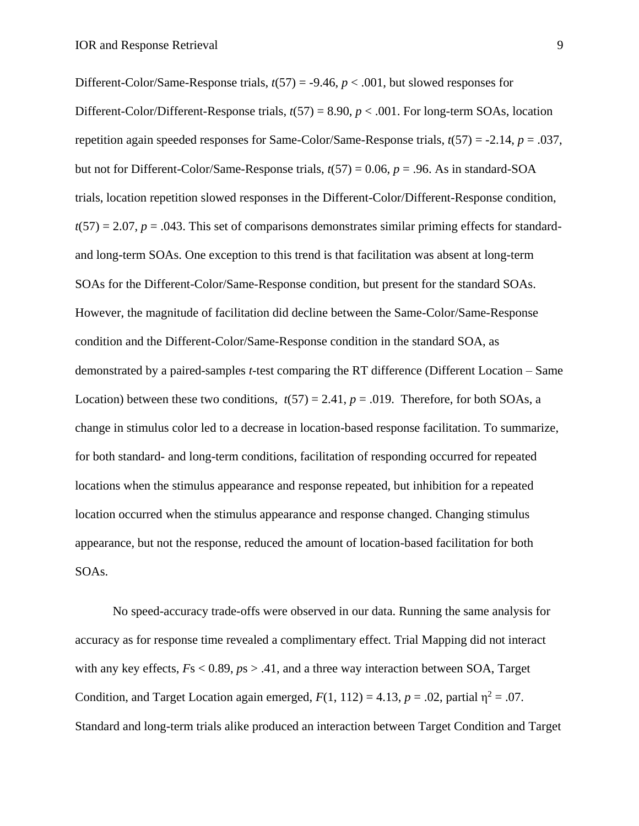Different-Color/Same-Response trials,  $t(57) = -9.46$ ,  $p < .001$ , but slowed responses for Different-Color/Different-Response trials,  $t(57) = 8.90$ ,  $p < .001$ . For long-term SOAs, location repetition again speeded responses for Same-Color/Same-Response trials, *t*(57) = -2.14, *p* = .037, but not for Different-Color/Same-Response trials, *t*(57) = 0.06, *p* = .96. As in standard-SOA trials, location repetition slowed responses in the Different-Color/Different-Response condition,  $t(57) = 2.07$ ,  $p = .043$ . This set of comparisons demonstrates similar priming effects for standardand long-term SOAs. One exception to this trend is that facilitation was absent at long-term SOAs for the Different-Color/Same-Response condition, but present for the standard SOAs. However, the magnitude of facilitation did decline between the Same-Color/Same-Response condition and the Different-Color/Same-Response condition in the standard SOA, as demonstrated by a paired-samples *t*-test comparing the RT difference (Different Location – Same Location) between these two conditions,  $t(57) = 2.41$ ,  $p = .019$ . Therefore, for both SOAs, a change in stimulus color led to a decrease in location-based response facilitation. To summarize, for both standard- and long-term conditions, facilitation of responding occurred for repeated locations when the stimulus appearance and response repeated, but inhibition for a repeated location occurred when the stimulus appearance and response changed. Changing stimulus appearance, but not the response, reduced the amount of location-based facilitation for both SOAs.

No speed-accuracy trade-offs were observed in our data. Running the same analysis for accuracy as for response time revealed a complimentary effect. Trial Mapping did not interact with any key effects, *F*s < 0.89, *p*s > .41, and a three way interaction between SOA, Target Condition, and Target Location again emerged,  $F(1, 112) = 4.13$ ,  $p = .02$ , partial  $\eta^2 = .07$ . Standard and long-term trials alike produced an interaction between Target Condition and Target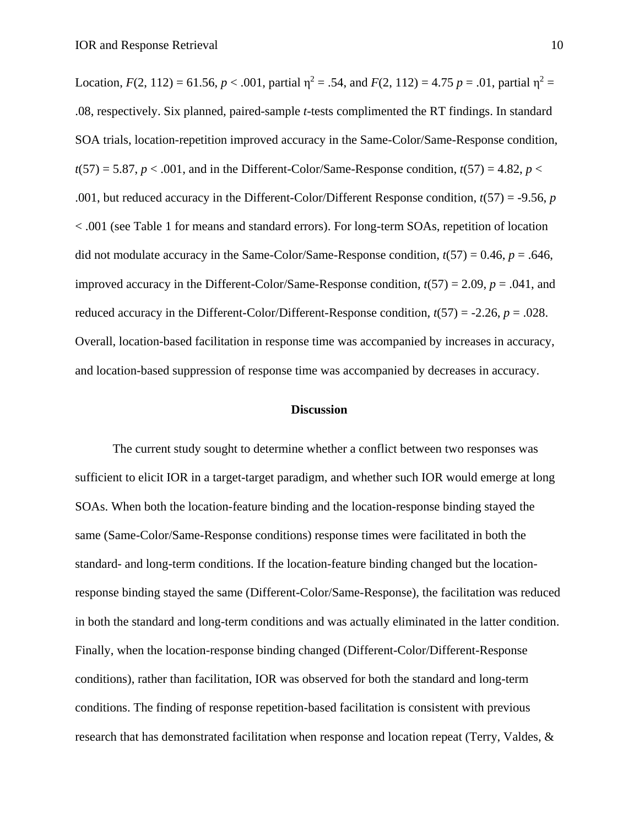Location,  $F(2, 112) = 61.56$ ,  $p < .001$ , partial  $\eta^2 = .54$ , and  $F(2, 112) = 4.75$   $p = .01$ , partial  $\eta^2 =$ .08, respectively. Six planned, paired-sample *t*-tests complimented the RT findings. In standard SOA trials, location-repetition improved accuracy in the Same-Color/Same-Response condition,  $t(57) = 5.87$ ,  $p < .001$ , and in the Different-Color/Same-Response condition,  $t(57) = 4.82$ ,  $p <$ .001, but reduced accuracy in the Different-Color/Different Response condition, *t*(57) = -9.56, *p* < .001 (see Table 1 for means and standard errors). For long-term SOAs, repetition of location did not modulate accuracy in the Same-Color/Same-Response condition, *t*(57) = 0.46, *p* = .646, improved accuracy in the Different-Color/Same-Response condition, *t*(57) = 2.09, *p* = .041, and reduced accuracy in the Different-Color/Different-Response condition,  $t(57) = -2.26$ ,  $p = .028$ . Overall, location-based facilitation in response time was accompanied by increases in accuracy, and location-based suppression of response time was accompanied by decreases in accuracy.

## **Discussion**

The current study sought to determine whether a conflict between two responses was sufficient to elicit IOR in a target-target paradigm, and whether such IOR would emerge at long SOAs. When both the location-feature binding and the location-response binding stayed the same (Same-Color/Same-Response conditions) response times were facilitated in both the standard- and long-term conditions. If the location-feature binding changed but the locationresponse binding stayed the same (Different-Color/Same-Response), the facilitation was reduced in both the standard and long-term conditions and was actually eliminated in the latter condition. Finally, when the location-response binding changed (Different-Color/Different-Response conditions), rather than facilitation, IOR was observed for both the standard and long-term conditions. The finding of response repetition-based facilitation is consistent with previous research that has demonstrated facilitation when response and location repeat (Terry, Valdes, &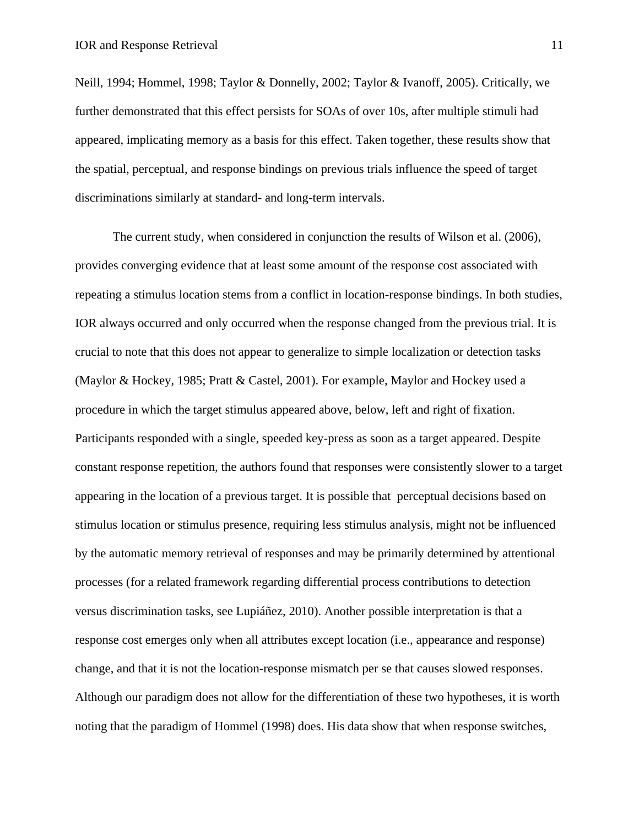Neill, 1994; Hommel, 1998; Taylor & Donnelly, 2002; Taylor & Ivanoff, 2005). Critically, we further demonstrated that this effect persists for SOAs of over 10s, after multiple stimuli had appeared, implicating memory as a basis for this effect. Taken together, these results show that the spatial, perceptual, and response bindings on previous trials influence the speed of target discriminations similarly at standard- and long-term intervals.

The current study, when considered in conjunction the results of Wilson et al. (2006), provides converging evidence that at least some amount of the response cost associated with repeating a stimulus location stems from a conflict in location-response bindings. In both studies, IOR always occurred and only occurred when the response changed from the previous trial. It is crucial to note that this does not appear to generalize to simple localization or detection tasks (Maylor & Hockey, 1985; Pratt & Castel, 2001). For example, Maylor and Hockey used a procedure in which the target stimulus appeared above, below, left and right of fixation. Participants responded with a single, speeded key-press as soon as a target appeared. Despite constant response repetition, the authors found that responses were consistently slower to a target appearing in the location of a previous target. It is possible that perceptual decisions based on stimulus location or stimulus presence, requiring less stimulus analysis, might not be influenced by the automatic memory retrieval of responses and may be primarily determined by attentional processes (for a related framework regarding differential process contributions to detection versus discrimination tasks, see Lupiáñez, 2010). Another possible interpretation is that a response cost emerges only when all attributes except location (i.e., appearance and response) change, and that it is not the location-response mismatch per se that causes slowed responses. Although our paradigm does not allow for the differentiation of these two hypotheses, it is worth noting that the paradigm of Hommel (1998) does. His data show that when response switches,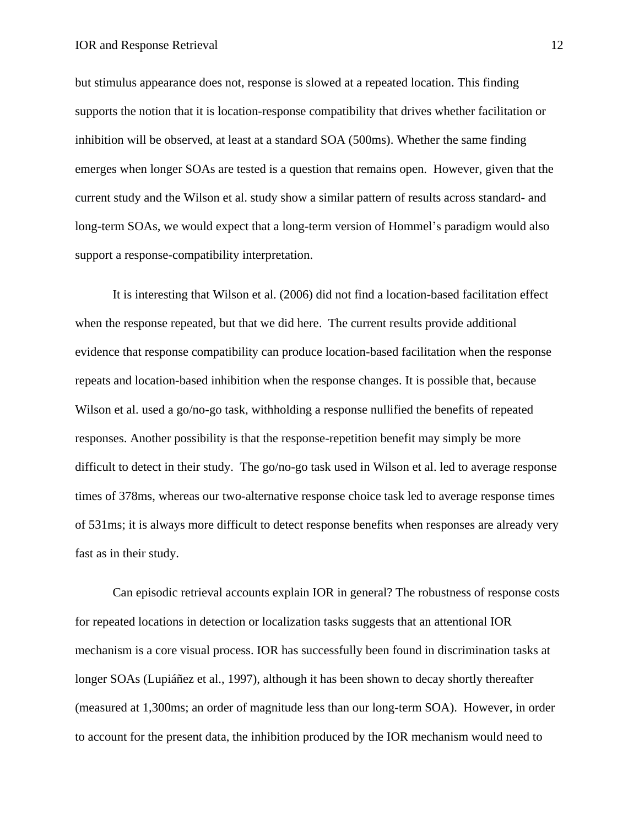but stimulus appearance does not, response is slowed at a repeated location. This finding supports the notion that it is location-response compatibility that drives whether facilitation or inhibition will be observed, at least at a standard SOA (500ms). Whether the same finding emerges when longer SOAs are tested is a question that remains open. However, given that the current study and the Wilson et al. study show a similar pattern of results across standard- and long-term SOAs, we would expect that a long-term version of Hommel's paradigm would also support a response-compatibility interpretation.

It is interesting that Wilson et al. (2006) did not find a location-based facilitation effect when the response repeated, but that we did here. The current results provide additional evidence that response compatibility can produce location-based facilitation when the response repeats and location-based inhibition when the response changes. It is possible that, because Wilson et al. used a go/no-go task, withholding a response nullified the benefits of repeated responses. Another possibility is that the response-repetition benefit may simply be more difficult to detect in their study. The go/no-go task used in Wilson et al. led to average response times of 378ms, whereas our two-alternative response choice task led to average response times of 531ms; it is always more difficult to detect response benefits when responses are already very fast as in their study.

Can episodic retrieval accounts explain IOR in general? The robustness of response costs for repeated locations in detection or localization tasks suggests that an attentional IOR mechanism is a core visual process. IOR has successfully been found in discrimination tasks at longer SOAs (Lupiáñez et al., 1997), although it has been shown to decay shortly thereafter (measured at 1,300ms; an order of magnitude less than our long-term SOA). However, in order to account for the present data, the inhibition produced by the IOR mechanism would need to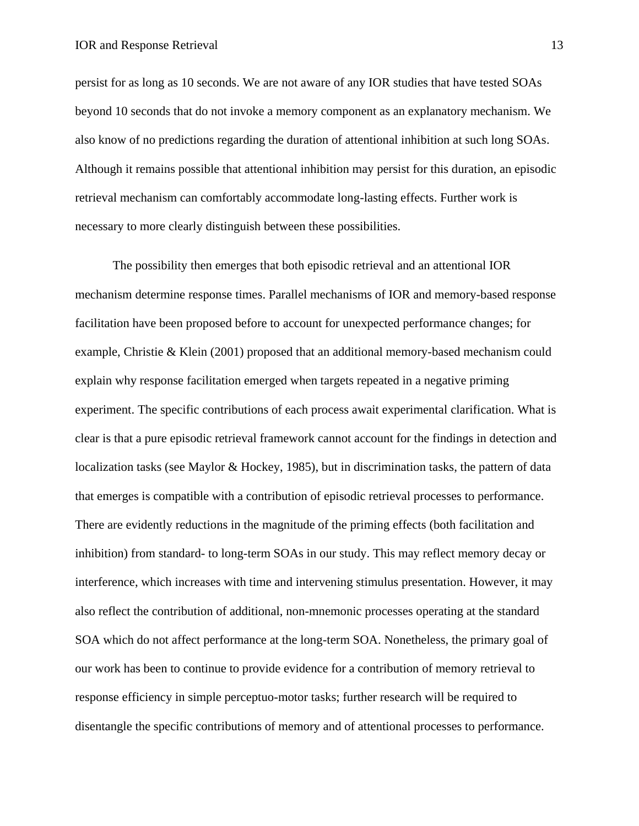persist for as long as 10 seconds. We are not aware of any IOR studies that have tested SOAs beyond 10 seconds that do not invoke a memory component as an explanatory mechanism. We also know of no predictions regarding the duration of attentional inhibition at such long SOAs. Although it remains possible that attentional inhibition may persist for this duration, an episodic retrieval mechanism can comfortably accommodate long-lasting effects. Further work is necessary to more clearly distinguish between these possibilities.

The possibility then emerges that both episodic retrieval and an attentional IOR mechanism determine response times. Parallel mechanisms of IOR and memory-based response facilitation have been proposed before to account for unexpected performance changes; for example, Christie & Klein (2001) proposed that an additional memory-based mechanism could explain why response facilitation emerged when targets repeated in a negative priming experiment. The specific contributions of each process await experimental clarification. What is clear is that a pure episodic retrieval framework cannot account for the findings in detection and localization tasks (see Maylor & Hockey, 1985), but in discrimination tasks, the pattern of data that emerges is compatible with a contribution of episodic retrieval processes to performance. There are evidently reductions in the magnitude of the priming effects (both facilitation and inhibition) from standard- to long-term SOAs in our study. This may reflect memory decay or interference, which increases with time and intervening stimulus presentation. However, it may also reflect the contribution of additional, non-mnemonic processes operating at the standard SOA which do not affect performance at the long-term SOA. Nonetheless, the primary goal of our work has been to continue to provide evidence for a contribution of memory retrieval to response efficiency in simple perceptuo-motor tasks; further research will be required to disentangle the specific contributions of memory and of attentional processes to performance.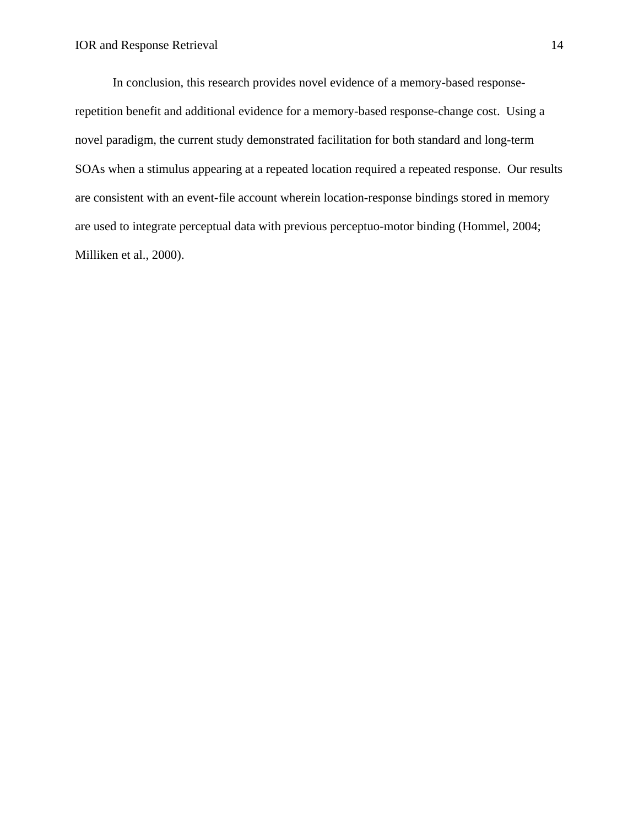In conclusion, this research provides novel evidence of a memory-based responserepetition benefit and additional evidence for a memory-based response-change cost. Using a novel paradigm, the current study demonstrated facilitation for both standard and long-term SOAs when a stimulus appearing at a repeated location required a repeated response. Our results are consistent with an event-file account wherein location-response bindings stored in memory are used to integrate perceptual data with previous perceptuo-motor binding (Hommel, 2004; Milliken et al., 2000).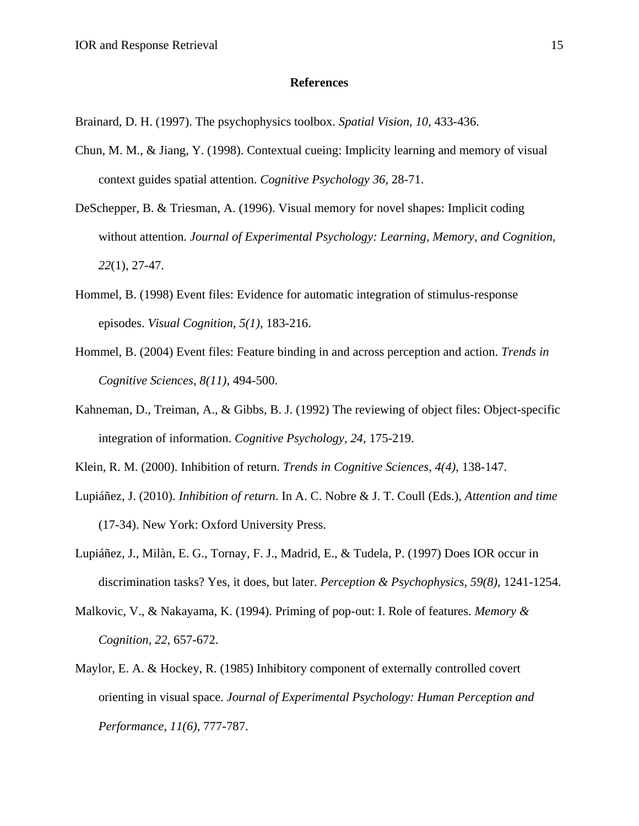#### **References**

Brainard, D. H. (1997). The psychophysics toolbox. *Spatial Vision, 10*, 433-436.

- Chun, M. M., & Jiang, Y. (1998). Contextual cueing: Implicity learning and memory of visual context guides spatial attention. *Cognitive Psychology 36*, 28-71.
- DeSchepper, B. & Triesman, A. (1996). Visual memory for novel shapes: Implicit coding without attention. *Journal of Experimental Psychology: Learning, Memory, and Cognition, 22*(1), 27-47.
- Hommel, B. (1998) Event files: Evidence for automatic integration of stimulus-response episodes. *Visual Cognition, 5(1)*, 183-216.
- Hommel, B. (2004) Event files: Feature binding in and across perception and action. *Trends in Cognitive Sciences, 8(11)*, 494-500.
- Kahneman, D., Treiman, A., & Gibbs, B. J. (1992) The reviewing of object files: Object-specific integration of information. *Cognitive Psychology, 24*, 175-219.

Klein, R. M. (2000). Inhibition of return. *Trends in Cognitive Sciences, 4(4)*, 138-147.

- Lupiáñez, J. (2010). *Inhibition of return*. In A. C. Nobre & J. T. Coull (Eds.), *Attention and time* (17-34). New York: Oxford University Press.
- Lupiáñez, J., Milàn, E. G., Tornay, F. J., Madrid, E., & Tudela, P. (1997) Does IOR occur in discrimination tasks? Yes, it does, but later. *Perception & Psychophysics, 59(8)*, 1241-1254.
- Malkovic, V., & Nakayama, K. (1994). Priming of pop-out: I. Role of features. *Memory & Cognition, 22,* 657-672.
- Maylor, E. A. & Hockey, R. (1985) Inhibitory component of externally controlled covert orienting in visual space. *Journal of Experimental Psychology: Human Perception and Performance, 11(6)*, 777-787.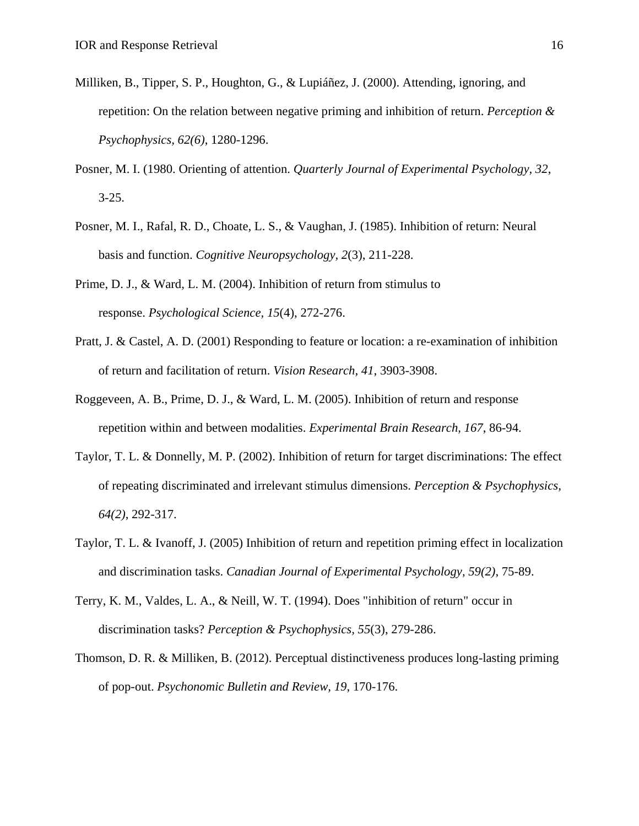- Milliken, B., Tipper, S. P., Houghton, G., & Lupiáñez, J. (2000). Attending, ignoring, and repetition: On the relation between negative priming and inhibition of return. *Perception & Psychophysics, 62(6)*, 1280-1296.
- Posner, M. I. (1980. Orienting of attention. *Quarterly Journal of Experimental Psychology, 32*, 3-25.
- Posner, M. I., Rafal, R. D., Choate, L. S., & Vaughan, J. (1985). Inhibition of return: Neural basis and function. *Cognitive Neuropsychology, 2*(3), 211-228.
- Prime, D. J., & Ward, L. M. (2004). Inhibition of return from stimulus to response. *Psychological Science, 15*(4), 272-276.
- Pratt, J. & Castel, A. D. (2001) Responding to feature or location: a re-examination of inhibition of return and facilitation of return. *Vision Research, 41*, 3903-3908.
- Roggeveen, A. B., Prime, D. J., & Ward, L. M. (2005). Inhibition of return and response repetition within and between modalities. *Experimental Brain Research, 167*, 86-94.
- Taylor, T. L. & Donnelly, M. P. (2002). Inhibition of return for target discriminations: The effect of repeating discriminated and irrelevant stimulus dimensions. *Perception & Psychophysics, 64(2)*, 292-317.
- Taylor, T. L. & Ivanoff, J. (2005) Inhibition of return and repetition priming effect in localization and discrimination tasks. *Canadian Journal of Experimental Psychology, 59(2)*, 75-89.
- Terry, K. M., Valdes, L. A., & Neill, W. T. (1994). Does "inhibition of return" occur in discrimination tasks? *Perception & Psychophysics, 55*(3), 279-286.
- Thomson, D. R. & Milliken, B. (2012). Perceptual distinctiveness produces long-lasting priming of pop-out. *Psychonomic Bulletin and Review, 19*, 170-176.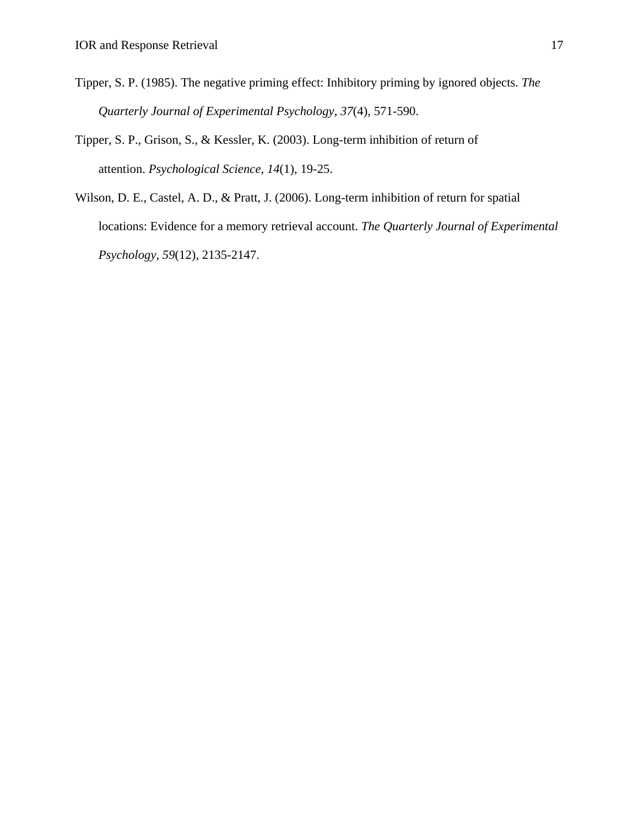- Tipper, S. P. (1985). The negative priming effect: Inhibitory priming by ignored objects. *The Quarterly Journal of Experimental Psychology*, *37*(4)*,* 571-590.
- Tipper, S. P., Grison, S., & Kessler, K. (2003). Long-term inhibition of return of attention. *Psychological Science, 14*(1), 19-25.
- Wilson, D. E., Castel, A. D., & Pratt, J. (2006). Long-term inhibition of return for spatial locations: Evidence for a memory retrieval account. *The Quarterly Journal of Experimental Psychology, 59*(12), 2135-2147.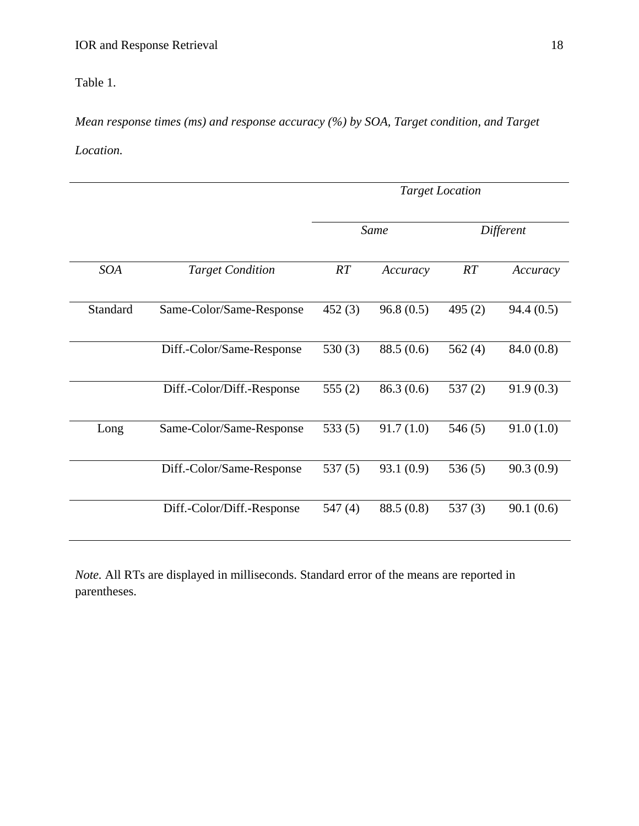Table 1.

*Mean response times (ms) and response accuracy (%) by SOA, Target condition, and Target Location.* 

|            |                            | <b>Target Location</b> |            |           |           |  |
|------------|----------------------------|------------------------|------------|-----------|-----------|--|
|            |                            | Same                   |            | Different |           |  |
| <b>SOA</b> | <b>Target Condition</b>    | RT                     | Accuracy   | RT        | Accuracy  |  |
| Standard   | Same-Color/Same-Response   | 452(3)                 | 96.8(0.5)  | 495 $(2)$ | 94.4(0.5) |  |
|            | Diff.-Color/Same-Response  | 530 $(3)$              | 88.5 (0.6) | 562 $(4)$ | 84.0(0.8) |  |
|            | Diff.-Color/Diff.-Response | 555 $(2)$              | 86.3(0.6)  | 537(2)    | 91.9(0.3) |  |
| Long       | Same-Color/Same-Response   | 533(5)                 | 91.7(1.0)  | 546(5)    | 91.0(1.0) |  |
|            | Diff.-Color/Same-Response  | 537(5)                 | 93.1(0.9)  | 536(5)    | 90.3(0.9) |  |
|            | Diff.-Color/Diff.-Response | 547(4)                 | 88.5 (0.8) | 537 $(3)$ | 90.1(0.6) |  |

*Note.* All RTs are displayed in milliseconds. Standard error of the means are reported in parentheses.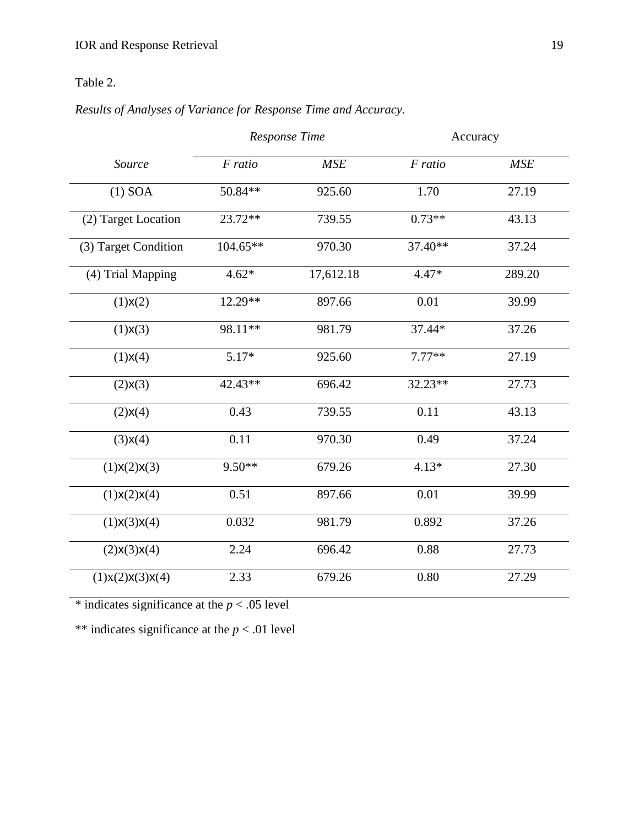# Table 2.

# *Results of Analyses of Variance for Response Time and Accuracy.*

|                      | Response Time |            | Accuracy |            |
|----------------------|---------------|------------|----------|------------|
| Source               | F ratio       | <b>MSE</b> | F ratio  | <b>MSE</b> |
| $(1)$ SOA            | 50.84**       | 925.60     | 1.70     | 27.19      |
| (2) Target Location  | $23.72**$     | 739.55     | $0.73**$ | 43.13      |
| (3) Target Condition | $104.65**$    | 970.30     | 37.40**  | 37.24      |
| (4) Trial Mapping    | $4.62*$       | 17,612.18  | $4.47*$  | 289.20     |
| (1)X(2)              | $12.29**$     | 897.66     | 0.01     | 39.99      |
| (1)X(3)              | 98.11**       | 981.79     | 37.44*   | 37.26      |
| (1)X(4)              | $5.17*$       | 925.60     | $7.77**$ | 27.19      |
| (2)X(3)              | 42.43**       | 696.42     | 32.23**  | 27.73      |
| (2)X(4)              | 0.43          | 739.55     | 0.11     | 43.13      |
| (3)X(4)              | 0.11          | 970.30     | 0.49     | 37.24      |
| (1)X(2)X(3)          | $9.50**$      | 679.26     | $4.13*$  | 27.30      |
| (1)X(2)X(4)          | 0.51          | 897.66     | 0.01     | 39.99      |
| (1)X(3)X(4)          | 0.032         | 981.79     | 0.892    | 37.26      |
| (2)X(3)X(4)          | 2.24          | 696.42     | 0.88     | 27.73      |
| (1)x(2)x(3)x(4)      | 2.33          | 679.26     | 0.80     | 27.29      |

\* indicates significance at the  $p < .05$  level

\*\* indicates significance at the *p* < .01 level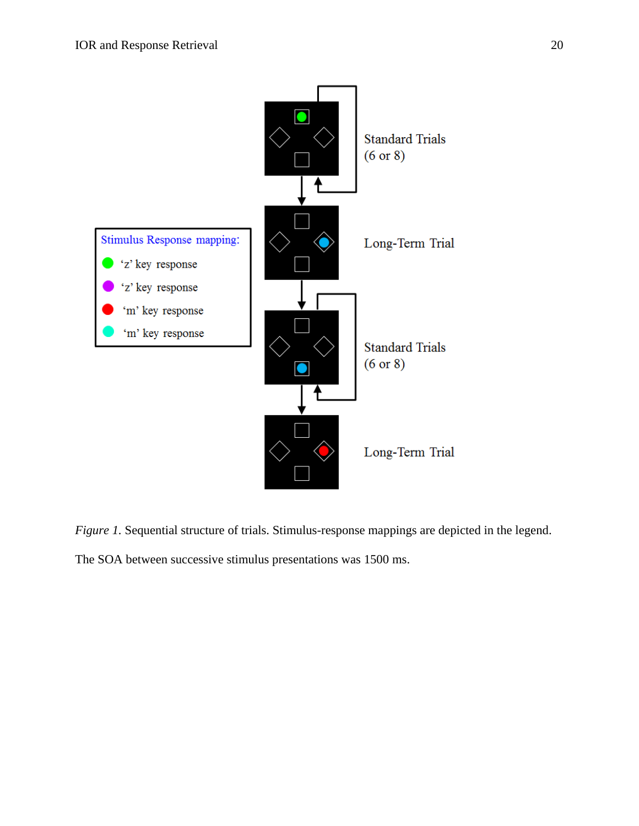

*Figure 1.* Sequential structure of trials. Stimulus-response mappings are depicted in the legend.

The SOA between successive stimulus presentations was 1500 ms.